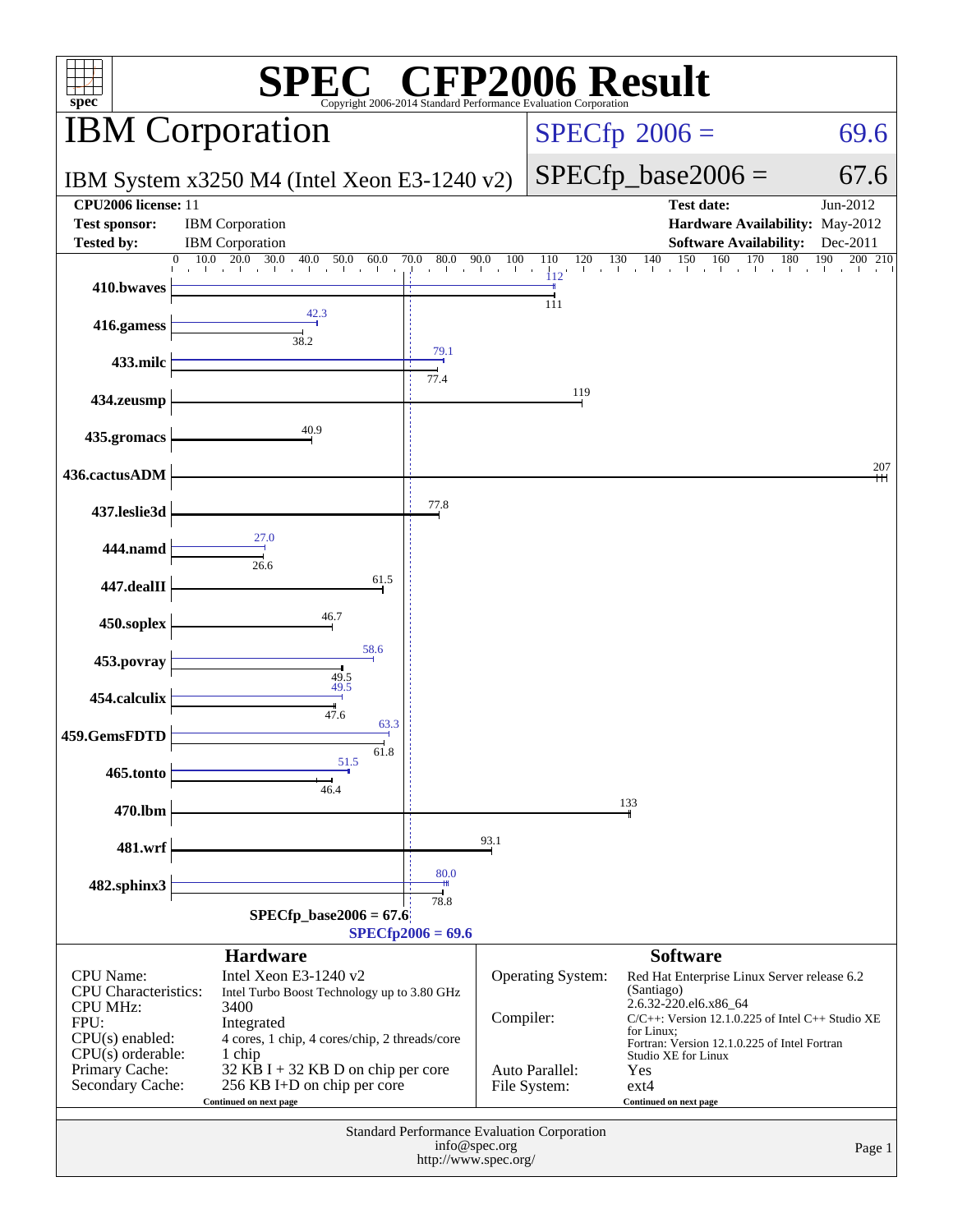| $\mathbb{C}^{\circledast}$ CFP2006 Result<br>spec <sup>®</sup><br>Copyright 2006-2014 Standard Performance Evaluation Corporation                   |                                                                                                                                                                                                                                                      |                                              |               |                                                            |                                                                                                                                                                                                                                                                               |                       |
|-----------------------------------------------------------------------------------------------------------------------------------------------------|------------------------------------------------------------------------------------------------------------------------------------------------------------------------------------------------------------------------------------------------------|----------------------------------------------|---------------|------------------------------------------------------------|-------------------------------------------------------------------------------------------------------------------------------------------------------------------------------------------------------------------------------------------------------------------------------|-----------------------|
|                                                                                                                                                     | <b>IBM</b> Corporation                                                                                                                                                                                                                               |                                              |               |                                                            | $SPECfp^{\circledast}2006 =$                                                                                                                                                                                                                                                  | 69.6                  |
|                                                                                                                                                     | IBM System $x3250$ M4 (Intel Xeon E3-1240 v2)                                                                                                                                                                                                        |                                              |               |                                                            | $SPECfp\_base2006 =$                                                                                                                                                                                                                                                          | 67.6                  |
| CPU2006 license: 11<br><b>Test sponsor:</b>                                                                                                         | <b>IBM</b> Corporation                                                                                                                                                                                                                               |                                              |               |                                                            | <b>Test date:</b><br>Hardware Availability: May-2012                                                                                                                                                                                                                          | Jun-2012              |
| <b>Tested by:</b>                                                                                                                                   | <b>IBM</b> Corporation                                                                                                                                                                                                                               |                                              |               |                                                            | <b>Software Availability:</b>                                                                                                                                                                                                                                                 | Dec-2011              |
|                                                                                                                                                     | $10.0$ $20.0$ $30.0$<br>40.0<br>50.0<br>$\overline{0}$<br>60.0<br>TERRITORIA DE LA PROVINCIA<br>all control                                                                                                                                          | 70.0<br>80.0<br>and the contract of the con- | 90.0<br>100   | 110<br>120<br>112                                          | 130<br>140<br>150<br>160<br>170                                                                                                                                                                                                                                               | 180<br>190<br>200 210 |
| 410.bwaves                                                                                                                                          |                                                                                                                                                                                                                                                      |                                              |               |                                                            |                                                                                                                                                                                                                                                                               |                       |
| 416.gamess                                                                                                                                          | 38.2                                                                                                                                                                                                                                                 |                                              |               | 111                                                        |                                                                                                                                                                                                                                                                               |                       |
| 433.milc                                                                                                                                            |                                                                                                                                                                                                                                                      | 79.1<br>77.4                                 |               |                                                            |                                                                                                                                                                                                                                                                               |                       |
| 434.zeusmp                                                                                                                                          |                                                                                                                                                                                                                                                      |                                              |               | 119                                                        |                                                                                                                                                                                                                                                                               |                       |
| 435.gromacs                                                                                                                                         | 40.9                                                                                                                                                                                                                                                 |                                              |               |                                                            |                                                                                                                                                                                                                                                                               |                       |
| 436.cactusADM                                                                                                                                       |                                                                                                                                                                                                                                                      |                                              |               |                                                            |                                                                                                                                                                                                                                                                               | 207                   |
| 437.leslie3d                                                                                                                                        |                                                                                                                                                                                                                                                      | 77.8                                         |               |                                                            |                                                                                                                                                                                                                                                                               |                       |
| 444.namd                                                                                                                                            | 27.0<br>26.6                                                                                                                                                                                                                                         |                                              |               |                                                            |                                                                                                                                                                                                                                                                               |                       |
| 447.dealII                                                                                                                                          | 61.5                                                                                                                                                                                                                                                 |                                              |               |                                                            |                                                                                                                                                                                                                                                                               |                       |
| 450.soplex                                                                                                                                          | 46.7                                                                                                                                                                                                                                                 |                                              |               |                                                            |                                                                                                                                                                                                                                                                               |                       |
| 453.povray                                                                                                                                          | 58.6<br>49.5                                                                                                                                                                                                                                         |                                              |               |                                                            |                                                                                                                                                                                                                                                                               |                       |
| 454.calculix                                                                                                                                        | 49.5<br>47.6                                                                                                                                                                                                                                         |                                              |               |                                                            |                                                                                                                                                                                                                                                                               |                       |
| 459.GemsFDTD                                                                                                                                        | 63.3<br>61.8                                                                                                                                                                                                                                         |                                              |               |                                                            |                                                                                                                                                                                                                                                                               |                       |
| 465.tonto                                                                                                                                           | 51.5<br>46.4                                                                                                                                                                                                                                         |                                              |               |                                                            |                                                                                                                                                                                                                                                                               |                       |
| 470.lbm                                                                                                                                             |                                                                                                                                                                                                                                                      |                                              |               |                                                            | 133                                                                                                                                                                                                                                                                           |                       |
| 481.wrf                                                                                                                                             |                                                                                                                                                                                                                                                      |                                              | 93.1          |                                                            |                                                                                                                                                                                                                                                                               |                       |
| 482.sphinx3                                                                                                                                         |                                                                                                                                                                                                                                                      | 80.0                                         |               |                                                            |                                                                                                                                                                                                                                                                               |                       |
|                                                                                                                                                     | $SPECfp\_base2006 = 67.6$                                                                                                                                                                                                                            | 78.8<br>$SPECfp2006 = 69.6$                  |               |                                                            |                                                                                                                                                                                                                                                                               |                       |
|                                                                                                                                                     | <b>Hardware</b>                                                                                                                                                                                                                                      |                                              |               |                                                            | <b>Software</b>                                                                                                                                                                                                                                                               |                       |
| CPU Name:<br><b>CPU</b> Characteristics:<br><b>CPU MHz:</b><br>FPU:<br>CPU(s) enabled:<br>$CPU(s)$ orderable:<br>Primary Cache:<br>Secondary Cache: | Intel Xeon E3-1240 v2<br>Intel Turbo Boost Technology up to 3.80 GHz<br>3400<br>Integrated<br>4 cores, 1 chip, 4 cores/chip, 2 threads/core<br>1 chip<br>32 KB I + 32 KB D on chip per core<br>256 KB I+D on chip per core<br>Continued on next page |                                              | Compiler:     | <b>Operating System:</b><br>Auto Parallel:<br>File System: | Red Hat Enterprise Linux Server release 6.2<br>(Santiago)<br>2.6.32-220.el6.x86_64<br>$C/C++$ : Version 12.1.0.225 of Intel $C++$ Studio XE<br>for Linux;<br>Fortran: Version 12.1.0.225 of Intel Fortran<br>Studio XE for Linux<br>Yes<br>$ext{4}$<br>Continued on next page |                       |
|                                                                                                                                                     |                                                                                                                                                                                                                                                      | http://www.spec.org/                         | info@spec.org | Standard Performance Evaluation Corporation                |                                                                                                                                                                                                                                                                               | Page 1                |
|                                                                                                                                                     |                                                                                                                                                                                                                                                      |                                              |               |                                                            |                                                                                                                                                                                                                                                                               |                       |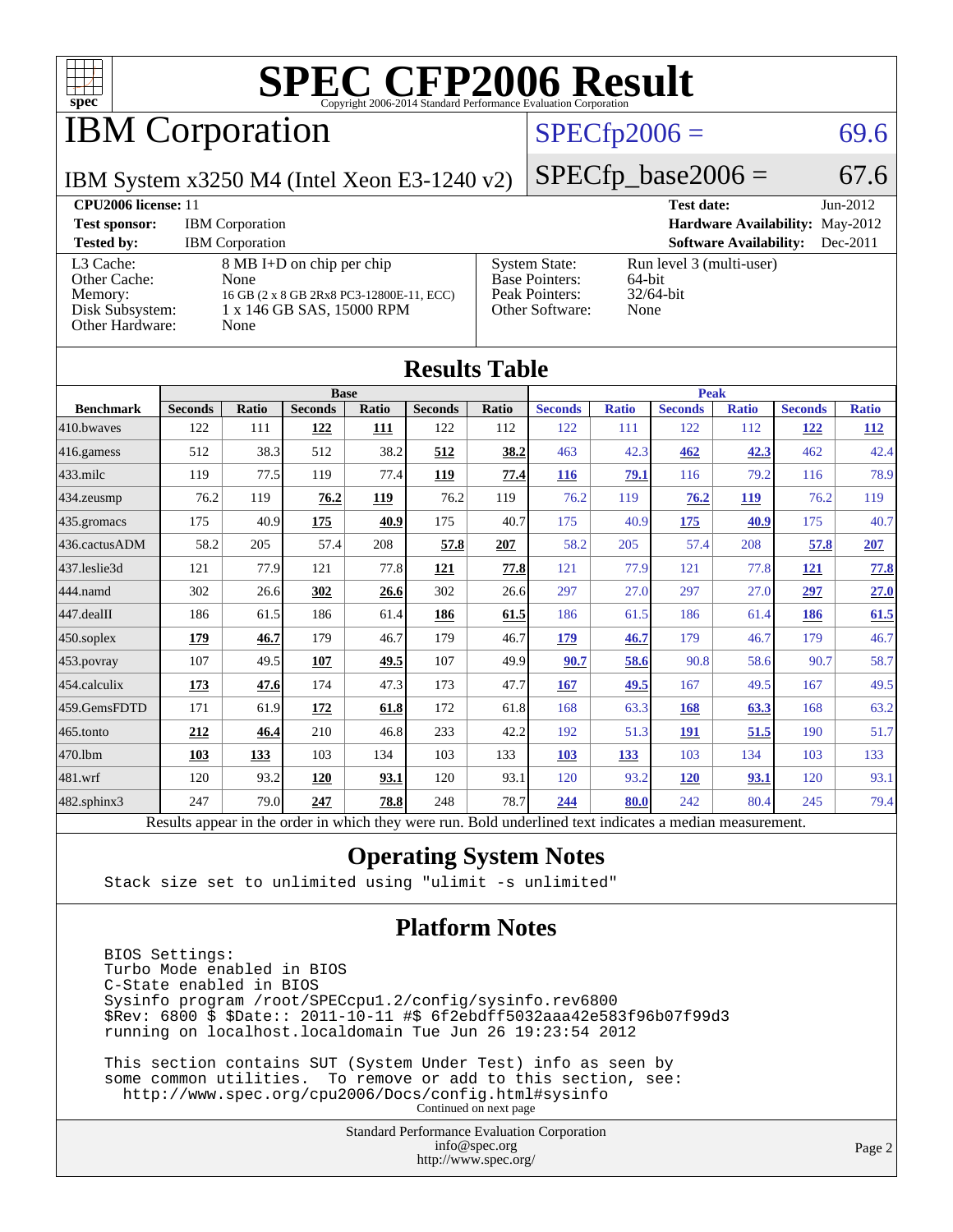

IBM Corporation

#### $SPECfp2006 = 69.6$  $SPECfp2006 = 69.6$

 $SPECTp\_base2006 = 67.6$ 

IBM System x3250 M4 (Intel Xeon E3-1240 v2)

| <b>CPU2006 license: 11</b>                                                 |                                                                                                                    |                                                                                    | <b>Test date:</b><br>$Jun-2012$                            |
|----------------------------------------------------------------------------|--------------------------------------------------------------------------------------------------------------------|------------------------------------------------------------------------------------|------------------------------------------------------------|
| <b>Test sponsor:</b>                                                       | <b>IBM</b> Corporation                                                                                             |                                                                                    | <b>Hardware Availability: May-2012</b>                     |
| <b>Tested by:</b>                                                          | <b>IBM</b> Corporation                                                                                             |                                                                                    | <b>Software Availability:</b><br>$Dec-2011$                |
| L3 Cache:<br>Other Cache:<br>Memory:<br>Disk Subsystem:<br>Other Hardware: | 8 MB I+D on chip per chip<br>None<br>16 GB (2 x 8 GB 2Rx8 PC3-12800E-11, ECC)<br>1 x 146 GB SAS, 15000 RPM<br>None | <b>System State:</b><br><b>Base Pointers:</b><br>Peak Pointers:<br>Other Software: | Run level 3 (multi-user)<br>64-bit<br>$32/64$ -bit<br>None |

**[Results Table](http://www.spec.org/auto/cpu2006/Docs/result-fields.html#ResultsTable)**

| Results Table                                                                                            |                |       |                |       |                |             |                |              |                |              |                |              |
|----------------------------------------------------------------------------------------------------------|----------------|-------|----------------|-------|----------------|-------------|----------------|--------------|----------------|--------------|----------------|--------------|
|                                                                                                          | <b>Base</b>    |       |                |       |                | <b>Peak</b> |                |              |                |              |                |              |
| <b>Benchmark</b>                                                                                         | <b>Seconds</b> | Ratio | <b>Seconds</b> | Ratio | <b>Seconds</b> | Ratio       | <b>Seconds</b> | <b>Ratio</b> | <b>Seconds</b> | <b>Ratio</b> | <b>Seconds</b> | <b>Ratio</b> |
| 410.bwaves                                                                                               | 122            | 111   | 122            | 111   | 122            | 112         | 122            | 111          | 122            | 112          | <u>122</u>     | <u>112</u>   |
| $416$ .gamess                                                                                            | 512            | 38.3  | 512            | 38.2  | 512            | 38.2        | 463            | 42.3         | 462            | 42.3         | 462            | 42.4         |
| $433$ .milc                                                                                              | 119            | 77.5  | 119            | 77.4  | 119            | 77.4        | <b>116</b>     | 79.1         | 116            | 79.2         | 116            | 78.9         |
| 434.zeusmp                                                                                               | 76.2           | 119   | 76.2           | 119   | 76.2           | 119         | 76.2           | 119          | 76.2           | 119          | 76.2           | 119          |
| 435.gromacs                                                                                              | 175            | 40.9  | 175            | 40.9  | 175            | 40.7        | 175            | 40.9         | 175            | 40.9         | 175            | 40.7         |
| 436.cactusADM                                                                                            | 58.2           | 205   | 57.4           | 208   | 57.8           | 207         | 58.2           | 205          | 57.4           | 208          | 57.8           | 207          |
| 437.leslie3d                                                                                             | 121            | 77.9  | 121            | 77.8  | 121            | 77.8        | 121            | 77.9         | 121            | 77.8         | <b>121</b>     | 77.8         |
| 444.namd                                                                                                 | 302            | 26.6  | 302            | 26.6  | 302            | 26.6        | 297            | 27.0         | 297            | 27.0         | 297            | 27.0         |
| 447.dealII                                                                                               | 186            | 61.5  | 186            | 61.4  | 186            | 61.5        | 186            | 61.5         | 186            | 61.4         | 186            | 61.5         |
| 450.soplex                                                                                               | 179            | 46.7  | 179            | 46.7  | 179            | 46.7        | 179            | 46.7         | 179            | 46.7         | 179            | 46.7         |
| 453.povray                                                                                               | 107            | 49.5  | 107            | 49.5  | 107            | 49.9        | 90.7           | 58.6         | 90.8           | 58.6         | 90.7           | 58.7         |
| 454.calculix                                                                                             | 173            | 47.6  | 174            | 47.3  | 173            | 47.7        | 167            | 49.5         | 167            | 49.5         | 167            | 49.5         |
| 459.GemsFDTD                                                                                             | 171            | 61.9  | <u>172</u>     | 61.8  | 172            | 61.8        | 168            | 63.3         | 168            | 63.3         | 168            | 63.2         |
| $465$ .tonto                                                                                             | 212            | 46.4  | 210            | 46.8  | 233            | 42.2        | 192            | 51.3         | 191            | 51.5         | 190            | 51.7         |
| 470.1bm                                                                                                  | 103            | 133   | 103            | 134   | 103            | 133         | 103            | 133          | 103            | 134          | 103            | 133          |
| 481.wrf                                                                                                  | 120            | 93.2  | 120            | 93.1  | 120            | 93.1        | 120            | 93.2         | <b>120</b>     | 93.1         | 120            | 93.1         |
| 482.sphinx3                                                                                              | 247            | 79.0  | 247            | 78.8  | 248            | 78.7        | 244            | 80.0         | 242            | 80.4         | 245            | 79.4         |
| Results appear in the order in which they were run. Bold underlined text indicates a median measurement. |                |       |                |       |                |             |                |              |                |              |                |              |

#### **[Operating System Notes](http://www.spec.org/auto/cpu2006/Docs/result-fields.html#OperatingSystemNotes)**

Stack size set to unlimited using "ulimit -s unlimited"

#### **[Platform Notes](http://www.spec.org/auto/cpu2006/Docs/result-fields.html#PlatformNotes)**

 BIOS Settings: Turbo Mode enabled in BIOS C-State enabled in BIOS Sysinfo program /root/SPECcpu1.2/config/sysinfo.rev6800 \$Rev: 6800 \$ \$Date:: 2011-10-11 #\$ 6f2ebdff5032aaa42e583f96b07f99d3 running on localhost.localdomain Tue Jun 26 19:23:54 2012

 This section contains SUT (System Under Test) info as seen by some common utilities. To remove or add to this section, see: <http://www.spec.org/cpu2006/Docs/config.html#sysinfo> Continued on next page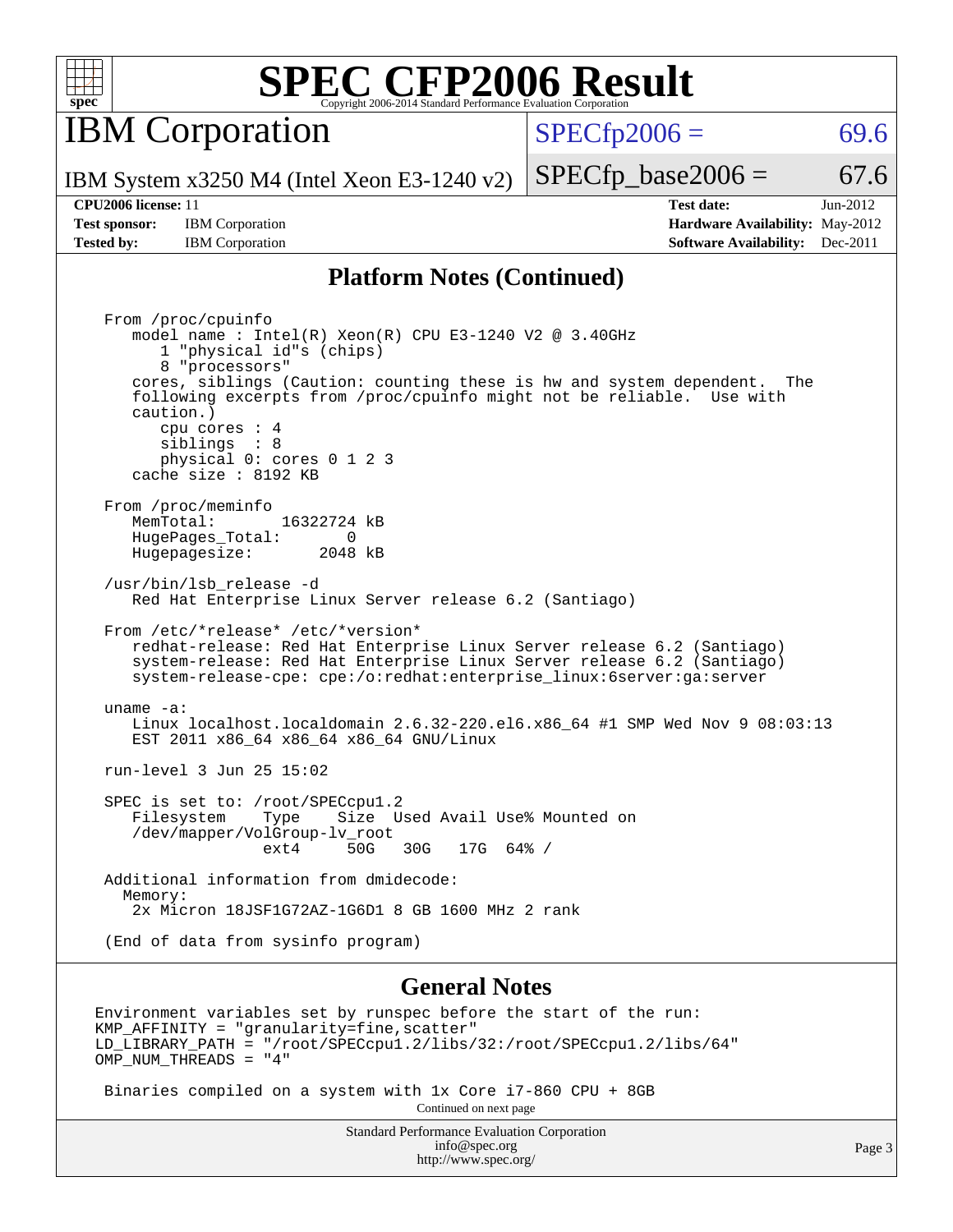

**IBM** Corporation

 $SPECTp2006 = 69.6$ 

IBM System x3250 M4 (Intel Xeon E3-1240 v2)

**[Test sponsor:](http://www.spec.org/auto/cpu2006/Docs/result-fields.html#Testsponsor)** IBM Corporation **[Hardware Availability:](http://www.spec.org/auto/cpu2006/Docs/result-fields.html#HardwareAvailability)** May-2012

 $SPECTp\_base2006 = 67.6$ **[CPU2006 license:](http://www.spec.org/auto/cpu2006/Docs/result-fields.html#CPU2006license)** 11 **[Test date:](http://www.spec.org/auto/cpu2006/Docs/result-fields.html#Testdate)** Jun-2012

**[Tested by:](http://www.spec.org/auto/cpu2006/Docs/result-fields.html#Testedby)** IBM Corporation **[Software Availability:](http://www.spec.org/auto/cpu2006/Docs/result-fields.html#SoftwareAvailability)** Dec-2011

#### **[Platform Notes \(Continued\)](http://www.spec.org/auto/cpu2006/Docs/result-fields.html#PlatformNotes)**

 From /proc/cpuinfo model name : Intel $(R)$  Xeon $(R)$  CPU E3-1240 V2 @ 3.40GHz 1 "physical id"s (chips) 8 "processors" cores, siblings (Caution: counting these is hw and system dependent. The following excerpts from /proc/cpuinfo might not be reliable. Use with caution.) cpu cores : 4 siblings : 8 physical 0: cores 0 1 2 3 cache size : 8192 KB From /proc/meminfo<br>MemTotal: 16322724 kB HugePages\_Total: 0<br>Hugepagesize: 2048 kB Hugepagesize: /usr/bin/lsb\_release -d Red Hat Enterprise Linux Server release 6.2 (Santiago) From /etc/\*release\* /etc/\*version\* redhat-release: Red Hat Enterprise Linux Server release 6.2 (Santiago) system-release: Red Hat Enterprise Linux Server release 6.2 (Santiago) system-release-cpe: cpe:/o:redhat:enterprise\_linux:6server:ga:server uname -a: Linux localhost.localdomain 2.6.32-220.el6.x86\_64 #1 SMP Wed Nov 9 08:03:13 EST 2011 x86\_64 x86\_64 x86\_64 GNU/Linux run-level 3 Jun 25 15:02 SPEC is set to: /root/SPECcpul.2<br>Filesystem Type Size U Type Size Used Avail Use% Mounted on /dev/mapper/VolGroup-lv\_root ext4 50G 30G 17G 64% / Additional information from dmidecode: Memory: 2x Micron 18JSF1G72AZ-1G6D1 8 GB 1600 MHz 2 rank (End of data from sysinfo program)

#### **[General Notes](http://www.spec.org/auto/cpu2006/Docs/result-fields.html#GeneralNotes)**

Environment variables set by runspec before the start of the run:  $KMP$  AFFINITY = "granularity=fine, scatter" LD\_LIBRARY\_PATH = "/root/SPECcpu1.2/libs/32:/root/SPECcpu1.2/libs/64" OMP\_NUM\_THREADS = "4"

 Binaries compiled on a system with 1x Core i7-860 CPU + 8GB Continued on next page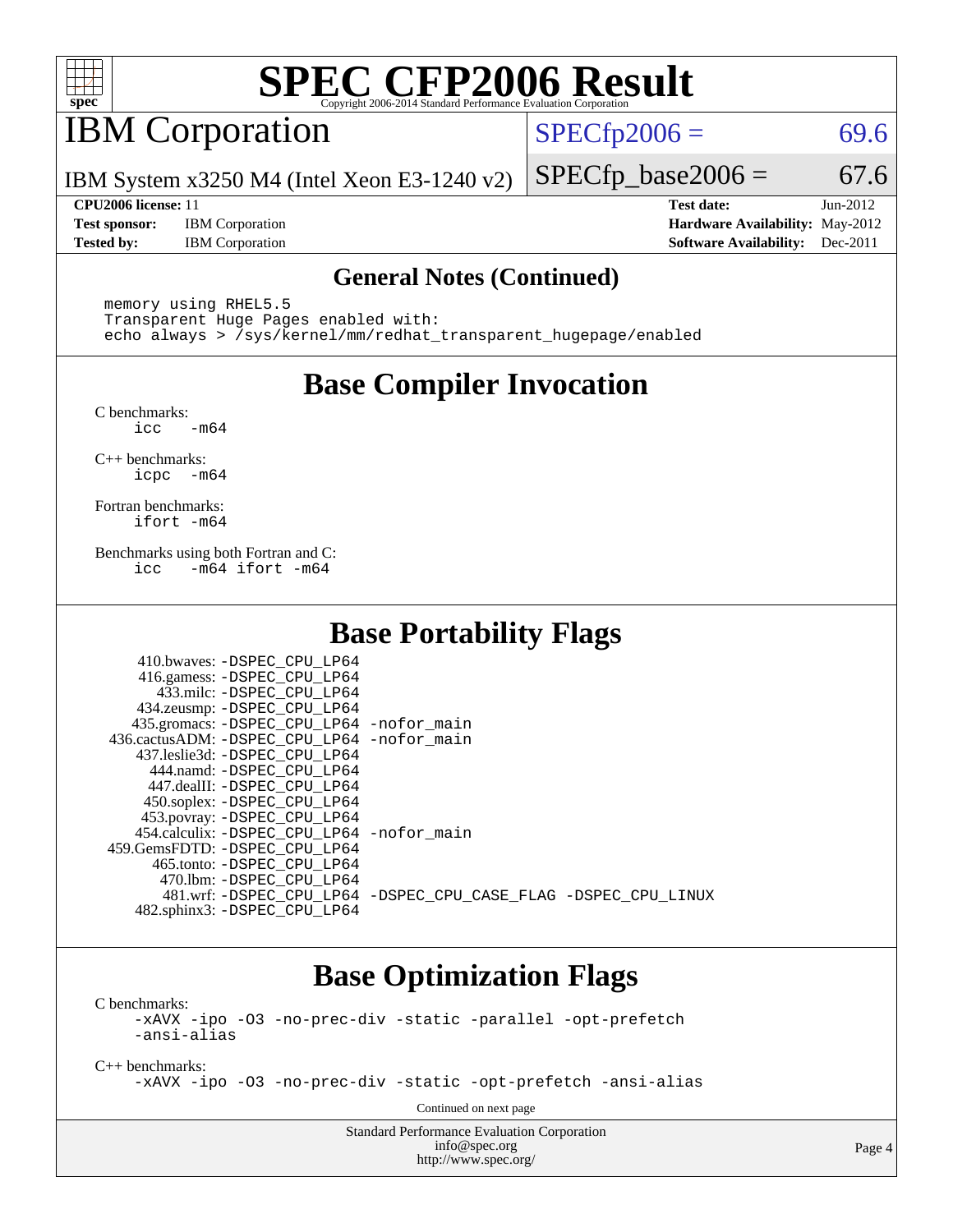

## IBM Corporation

 $SPECTp2006 = 69.6$ 

IBM System x3250 M4 (Intel Xeon E3-1240 v2)

**[Test sponsor:](http://www.spec.org/auto/cpu2006/Docs/result-fields.html#Testsponsor)** IBM Corporation **[Hardware Availability:](http://www.spec.org/auto/cpu2006/Docs/result-fields.html#HardwareAvailability)** May-2012 **[Tested by:](http://www.spec.org/auto/cpu2006/Docs/result-fields.html#Testedby)** IBM Corporation **[Software Availability:](http://www.spec.org/auto/cpu2006/Docs/result-fields.html#SoftwareAvailability)** Dec-2011

**[CPU2006 license:](http://www.spec.org/auto/cpu2006/Docs/result-fields.html#CPU2006license)** 11 **[Test date:](http://www.spec.org/auto/cpu2006/Docs/result-fields.html#Testdate)** Jun-2012

 $SPECTp\_base2006 = 67.6$ 

#### **[General Notes \(Continued\)](http://www.spec.org/auto/cpu2006/Docs/result-fields.html#GeneralNotes)**

 memory using RHEL5.5 Transparent Huge Pages enabled with: echo always > /sys/kernel/mm/redhat\_transparent\_hugepage/enabled

## **[Base Compiler Invocation](http://www.spec.org/auto/cpu2006/Docs/result-fields.html#BaseCompilerInvocation)**

[C benchmarks](http://www.spec.org/auto/cpu2006/Docs/result-fields.html#Cbenchmarks):  $\text{icc}$   $-\text{m64}$ 

[C++ benchmarks:](http://www.spec.org/auto/cpu2006/Docs/result-fields.html#CXXbenchmarks) [icpc -m64](http://www.spec.org/cpu2006/results/res2012q3/cpu2006-20120628-23225.flags.html#user_CXXbase_intel_icpc_64bit_bedb90c1146cab66620883ef4f41a67e)

[Fortran benchmarks](http://www.spec.org/auto/cpu2006/Docs/result-fields.html#Fortranbenchmarks): [ifort -m64](http://www.spec.org/cpu2006/results/res2012q3/cpu2006-20120628-23225.flags.html#user_FCbase_intel_ifort_64bit_ee9d0fb25645d0210d97eb0527dcc06e)

[Benchmarks using both Fortran and C](http://www.spec.org/auto/cpu2006/Docs/result-fields.html#BenchmarksusingbothFortranandC): [icc -m64](http://www.spec.org/cpu2006/results/res2012q3/cpu2006-20120628-23225.flags.html#user_CC_FCbase_intel_icc_64bit_0b7121f5ab7cfabee23d88897260401c) [ifort -m64](http://www.spec.org/cpu2006/results/res2012q3/cpu2006-20120628-23225.flags.html#user_CC_FCbase_intel_ifort_64bit_ee9d0fb25645d0210d97eb0527dcc06e)

## **[Base Portability Flags](http://www.spec.org/auto/cpu2006/Docs/result-fields.html#BasePortabilityFlags)**

| 410.bwaves: -DSPEC CPU LP64                 |                                                                |
|---------------------------------------------|----------------------------------------------------------------|
| 416.gamess: -DSPEC_CPU_LP64                 |                                                                |
| 433.milc: -DSPEC CPU LP64                   |                                                                |
| 434.zeusmp: -DSPEC_CPU_LP64                 |                                                                |
| 435.gromacs: -DSPEC_CPU_LP64 -nofor_main    |                                                                |
| 436.cactusADM: -DSPEC CPU LP64 -nofor main  |                                                                |
| 437.leslie3d: -DSPEC CPU LP64               |                                                                |
| 444.namd: - DSPEC_CPU LP64                  |                                                                |
| 447.dealII: -DSPEC CPU LP64                 |                                                                |
| 450.soplex: -DSPEC_CPU_LP64                 |                                                                |
| 453.povray: -DSPEC_CPU_LP64                 |                                                                |
| 454.calculix: - DSPEC CPU LP64 - nofor main |                                                                |
| 459.GemsFDTD: - DSPEC_CPU LP64              |                                                                |
| 465.tonto: - DSPEC CPU LP64                 |                                                                |
| 470.1bm: - DSPEC CPU LP64                   |                                                                |
|                                             | 481.wrf: -DSPEC CPU_LP64 -DSPEC_CPU_CASE_FLAG -DSPEC_CPU_LINUX |
| 482.sphinx3: -DSPEC_CPU_LP64                |                                                                |

## **[Base Optimization Flags](http://www.spec.org/auto/cpu2006/Docs/result-fields.html#BaseOptimizationFlags)**

[C benchmarks](http://www.spec.org/auto/cpu2006/Docs/result-fields.html#Cbenchmarks): [-xAVX](http://www.spec.org/cpu2006/results/res2012q3/cpu2006-20120628-23225.flags.html#user_CCbase_f-xAVX) [-ipo](http://www.spec.org/cpu2006/results/res2012q3/cpu2006-20120628-23225.flags.html#user_CCbase_f-ipo) [-O3](http://www.spec.org/cpu2006/results/res2012q3/cpu2006-20120628-23225.flags.html#user_CCbase_f-O3) [-no-prec-div](http://www.spec.org/cpu2006/results/res2012q3/cpu2006-20120628-23225.flags.html#user_CCbase_f-no-prec-div) [-static](http://www.spec.org/cpu2006/results/res2012q3/cpu2006-20120628-23225.flags.html#user_CCbase_f-static) [-parallel](http://www.spec.org/cpu2006/results/res2012q3/cpu2006-20120628-23225.flags.html#user_CCbase_f-parallel) [-opt-prefetch](http://www.spec.org/cpu2006/results/res2012q3/cpu2006-20120628-23225.flags.html#user_CCbase_f-opt-prefetch)

[-ansi-alias](http://www.spec.org/cpu2006/results/res2012q3/cpu2006-20120628-23225.flags.html#user_CCbase_f-ansi-alias)

[C++ benchmarks:](http://www.spec.org/auto/cpu2006/Docs/result-fields.html#CXXbenchmarks)

[-xAVX](http://www.spec.org/cpu2006/results/res2012q3/cpu2006-20120628-23225.flags.html#user_CXXbase_f-xAVX) [-ipo](http://www.spec.org/cpu2006/results/res2012q3/cpu2006-20120628-23225.flags.html#user_CXXbase_f-ipo) [-O3](http://www.spec.org/cpu2006/results/res2012q3/cpu2006-20120628-23225.flags.html#user_CXXbase_f-O3) [-no-prec-div](http://www.spec.org/cpu2006/results/res2012q3/cpu2006-20120628-23225.flags.html#user_CXXbase_f-no-prec-div) [-static](http://www.spec.org/cpu2006/results/res2012q3/cpu2006-20120628-23225.flags.html#user_CXXbase_f-static) [-opt-prefetch](http://www.spec.org/cpu2006/results/res2012q3/cpu2006-20120628-23225.flags.html#user_CXXbase_f-opt-prefetch) [-ansi-alias](http://www.spec.org/cpu2006/results/res2012q3/cpu2006-20120628-23225.flags.html#user_CXXbase_f-ansi-alias)

Continued on next page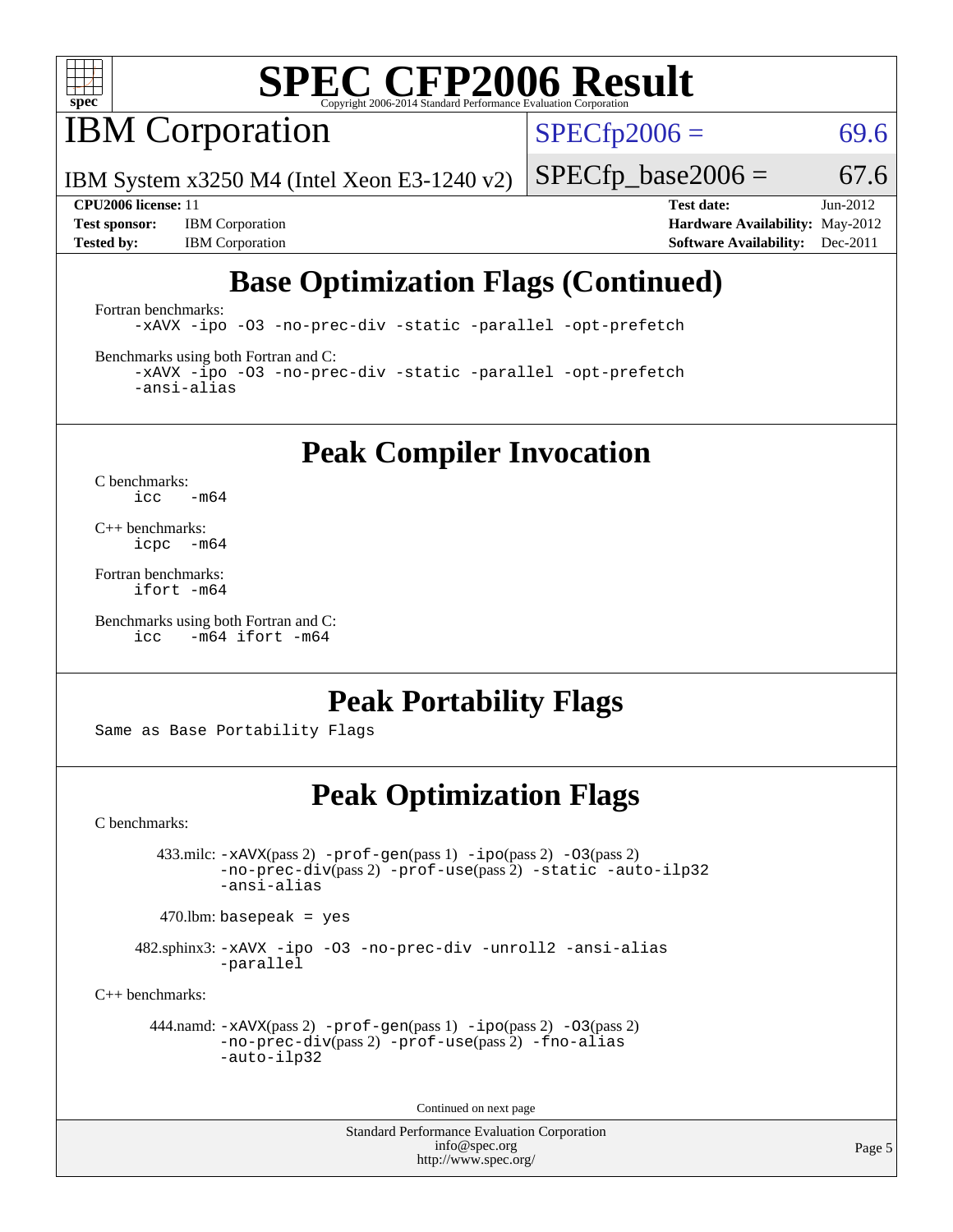

**IBM** Corporation

 $SPECTp2006 = 69.6$ 

IBM System x3250 M4 (Intel Xeon E3-1240 v2)

 $SPECfp\_base2006 = 67.6$ 

**[Test sponsor:](http://www.spec.org/auto/cpu2006/Docs/result-fields.html#Testsponsor)** IBM Corporation **[Hardware Availability:](http://www.spec.org/auto/cpu2006/Docs/result-fields.html#HardwareAvailability)** May-2012 **[Tested by:](http://www.spec.org/auto/cpu2006/Docs/result-fields.html#Testedby)** IBM Corporation **[Software Availability:](http://www.spec.org/auto/cpu2006/Docs/result-fields.html#SoftwareAvailability)** Dec-2011

**[CPU2006 license:](http://www.spec.org/auto/cpu2006/Docs/result-fields.html#CPU2006license)** 11 **[Test date:](http://www.spec.org/auto/cpu2006/Docs/result-fields.html#Testdate)** Jun-2012

## **[Base Optimization Flags \(Continued\)](http://www.spec.org/auto/cpu2006/Docs/result-fields.html#BaseOptimizationFlags)**

[Fortran benchmarks](http://www.spec.org/auto/cpu2006/Docs/result-fields.html#Fortranbenchmarks):

[-xAVX](http://www.spec.org/cpu2006/results/res2012q3/cpu2006-20120628-23225.flags.html#user_FCbase_f-xAVX) [-ipo](http://www.spec.org/cpu2006/results/res2012q3/cpu2006-20120628-23225.flags.html#user_FCbase_f-ipo) [-O3](http://www.spec.org/cpu2006/results/res2012q3/cpu2006-20120628-23225.flags.html#user_FCbase_f-O3) [-no-prec-div](http://www.spec.org/cpu2006/results/res2012q3/cpu2006-20120628-23225.flags.html#user_FCbase_f-no-prec-div) [-static](http://www.spec.org/cpu2006/results/res2012q3/cpu2006-20120628-23225.flags.html#user_FCbase_f-static) [-parallel](http://www.spec.org/cpu2006/results/res2012q3/cpu2006-20120628-23225.flags.html#user_FCbase_f-parallel) [-opt-prefetch](http://www.spec.org/cpu2006/results/res2012q3/cpu2006-20120628-23225.flags.html#user_FCbase_f-opt-prefetch)

[Benchmarks using both Fortran and C](http://www.spec.org/auto/cpu2006/Docs/result-fields.html#BenchmarksusingbothFortranandC):

[-xAVX](http://www.spec.org/cpu2006/results/res2012q3/cpu2006-20120628-23225.flags.html#user_CC_FCbase_f-xAVX) [-ipo](http://www.spec.org/cpu2006/results/res2012q3/cpu2006-20120628-23225.flags.html#user_CC_FCbase_f-ipo) [-O3](http://www.spec.org/cpu2006/results/res2012q3/cpu2006-20120628-23225.flags.html#user_CC_FCbase_f-O3) [-no-prec-div](http://www.spec.org/cpu2006/results/res2012q3/cpu2006-20120628-23225.flags.html#user_CC_FCbase_f-no-prec-div) [-static](http://www.spec.org/cpu2006/results/res2012q3/cpu2006-20120628-23225.flags.html#user_CC_FCbase_f-static) [-parallel](http://www.spec.org/cpu2006/results/res2012q3/cpu2006-20120628-23225.flags.html#user_CC_FCbase_f-parallel) [-opt-prefetch](http://www.spec.org/cpu2006/results/res2012q3/cpu2006-20120628-23225.flags.html#user_CC_FCbase_f-opt-prefetch) [-ansi-alias](http://www.spec.org/cpu2006/results/res2012q3/cpu2006-20120628-23225.flags.html#user_CC_FCbase_f-ansi-alias)

**[Peak Compiler Invocation](http://www.spec.org/auto/cpu2006/Docs/result-fields.html#PeakCompilerInvocation)**

[C benchmarks](http://www.spec.org/auto/cpu2006/Docs/result-fields.html#Cbenchmarks):  $\text{icc}$  -m64

[C++ benchmarks:](http://www.spec.org/auto/cpu2006/Docs/result-fields.html#CXXbenchmarks) [icpc -m64](http://www.spec.org/cpu2006/results/res2012q3/cpu2006-20120628-23225.flags.html#user_CXXpeak_intel_icpc_64bit_bedb90c1146cab66620883ef4f41a67e)

[Fortran benchmarks](http://www.spec.org/auto/cpu2006/Docs/result-fields.html#Fortranbenchmarks): [ifort -m64](http://www.spec.org/cpu2006/results/res2012q3/cpu2006-20120628-23225.flags.html#user_FCpeak_intel_ifort_64bit_ee9d0fb25645d0210d97eb0527dcc06e)

[Benchmarks using both Fortran and C](http://www.spec.org/auto/cpu2006/Docs/result-fields.html#BenchmarksusingbothFortranandC): [icc -m64](http://www.spec.org/cpu2006/results/res2012q3/cpu2006-20120628-23225.flags.html#user_CC_FCpeak_intel_icc_64bit_0b7121f5ab7cfabee23d88897260401c) [ifort -m64](http://www.spec.org/cpu2006/results/res2012q3/cpu2006-20120628-23225.flags.html#user_CC_FCpeak_intel_ifort_64bit_ee9d0fb25645d0210d97eb0527dcc06e)

## **[Peak Portability Flags](http://www.spec.org/auto/cpu2006/Docs/result-fields.html#PeakPortabilityFlags)**

Same as Base Portability Flags

## **[Peak Optimization Flags](http://www.spec.org/auto/cpu2006/Docs/result-fields.html#PeakOptimizationFlags)**

[C benchmarks](http://www.spec.org/auto/cpu2006/Docs/result-fields.html#Cbenchmarks):

 433.milc: [-xAVX](http://www.spec.org/cpu2006/results/res2012q3/cpu2006-20120628-23225.flags.html#user_peakPASS2_CFLAGSPASS2_LDFLAGS433_milc_f-xAVX)(pass 2) [-prof-gen](http://www.spec.org/cpu2006/results/res2012q3/cpu2006-20120628-23225.flags.html#user_peakPASS1_CFLAGSPASS1_LDFLAGS433_milc_prof_gen_e43856698f6ca7b7e442dfd80e94a8fc)(pass 1) [-ipo](http://www.spec.org/cpu2006/results/res2012q3/cpu2006-20120628-23225.flags.html#user_peakPASS2_CFLAGSPASS2_LDFLAGS433_milc_f-ipo)(pass 2) [-O3](http://www.spec.org/cpu2006/results/res2012q3/cpu2006-20120628-23225.flags.html#user_peakPASS2_CFLAGSPASS2_LDFLAGS433_milc_f-O3)(pass 2) [-no-prec-div](http://www.spec.org/cpu2006/results/res2012q3/cpu2006-20120628-23225.flags.html#user_peakPASS2_CFLAGSPASS2_LDFLAGS433_milc_f-no-prec-div)(pass 2) [-prof-use](http://www.spec.org/cpu2006/results/res2012q3/cpu2006-20120628-23225.flags.html#user_peakPASS2_CFLAGSPASS2_LDFLAGS433_milc_prof_use_bccf7792157ff70d64e32fe3e1250b55)(pass 2) [-static](http://www.spec.org/cpu2006/results/res2012q3/cpu2006-20120628-23225.flags.html#user_peakOPTIMIZE433_milc_f-static) [-auto-ilp32](http://www.spec.org/cpu2006/results/res2012q3/cpu2006-20120628-23225.flags.html#user_peakCOPTIMIZE433_milc_f-auto-ilp32) [-ansi-alias](http://www.spec.org/cpu2006/results/res2012q3/cpu2006-20120628-23225.flags.html#user_peakCOPTIMIZE433_milc_f-ansi-alias)

 $470.$ lbm: basepeak = yes

 482.sphinx3: [-xAVX](http://www.spec.org/cpu2006/results/res2012q3/cpu2006-20120628-23225.flags.html#user_peakOPTIMIZE482_sphinx3_f-xAVX) [-ipo](http://www.spec.org/cpu2006/results/res2012q3/cpu2006-20120628-23225.flags.html#user_peakOPTIMIZE482_sphinx3_f-ipo) [-O3](http://www.spec.org/cpu2006/results/res2012q3/cpu2006-20120628-23225.flags.html#user_peakOPTIMIZE482_sphinx3_f-O3) [-no-prec-div](http://www.spec.org/cpu2006/results/res2012q3/cpu2006-20120628-23225.flags.html#user_peakOPTIMIZE482_sphinx3_f-no-prec-div) [-unroll2](http://www.spec.org/cpu2006/results/res2012q3/cpu2006-20120628-23225.flags.html#user_peakCOPTIMIZE482_sphinx3_f-unroll_784dae83bebfb236979b41d2422d7ec2) [-ansi-alias](http://www.spec.org/cpu2006/results/res2012q3/cpu2006-20120628-23225.flags.html#user_peakCOPTIMIZE482_sphinx3_f-ansi-alias) [-parallel](http://www.spec.org/cpu2006/results/res2012q3/cpu2006-20120628-23225.flags.html#user_peakCOPTIMIZE482_sphinx3_f-parallel)

[C++ benchmarks:](http://www.spec.org/auto/cpu2006/Docs/result-fields.html#CXXbenchmarks)

```
 444.namd: -xAVX(pass 2) -prof-gen(pass 1) -ipo(pass 2) -O3(pass 2)
         -no-prec-div(pass 2) -prof-use(pass 2) -fno-alias
         -auto-ilp32
```
Continued on next page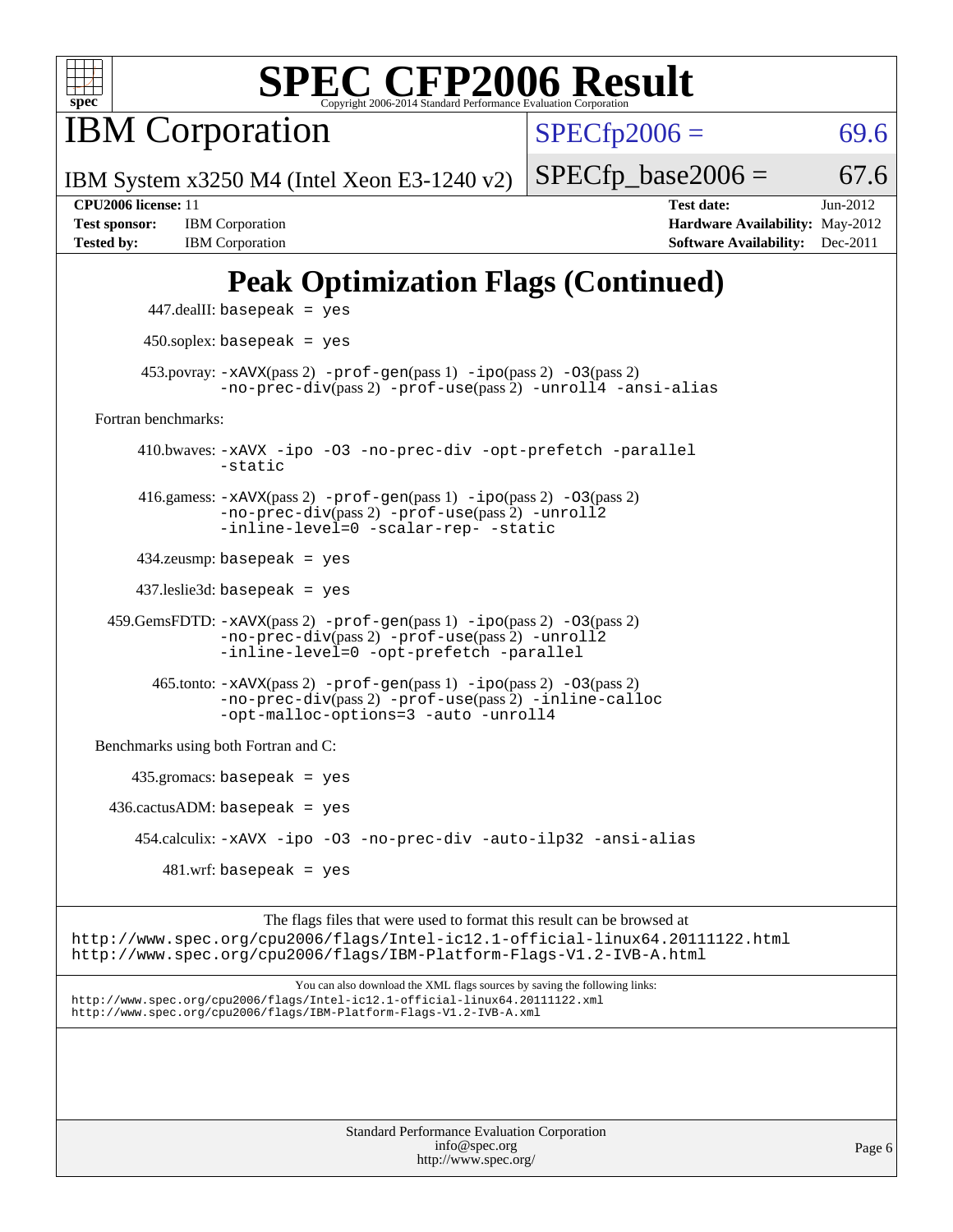

**IBM** Corporation

 $SPECfp2006 = 69.6$  $SPECfp2006 = 69.6$ 

IBM System x3250 M4 (Intel Xeon E3-1240 v2)

**[Tested by:](http://www.spec.org/auto/cpu2006/Docs/result-fields.html#Testedby)** IBM Corporation **[Software Availability:](http://www.spec.org/auto/cpu2006/Docs/result-fields.html#SoftwareAvailability)** Dec-2011

**[CPU2006 license:](http://www.spec.org/auto/cpu2006/Docs/result-fields.html#CPU2006license)** 11 **[Test date:](http://www.spec.org/auto/cpu2006/Docs/result-fields.html#Testdate)** Jun-2012 **[Test sponsor:](http://www.spec.org/auto/cpu2006/Docs/result-fields.html#Testsponsor)** IBM Corporation **[Hardware Availability:](http://www.spec.org/auto/cpu2006/Docs/result-fields.html#HardwareAvailability)** May-2012

 $SPECTp\_base2006 = 67.6$ 

## **[Peak Optimization Flags \(Continued\)](http://www.spec.org/auto/cpu2006/Docs/result-fields.html#PeakOptimizationFlags)**

```
 447.dealII: basepeak = yes
       450.soplex: basepeak = yes
     453.povray: -xAVX(pass 2) -prof-gen(pass 1) -ipo(pass 2) -03(pass 2)
                -no-prec-div(pass 2) -prof-use(pass 2) -unroll4 -ansi-alias
Fortran benchmarks: 
      410.bwaves: -xAVX -ipo -O3 -no-prec-div -opt-prefetch -parallel
                -static
      416.gamess: -xAVX(pass 2) -prof-gen(pass 1) -ipo(pass 2) -O3(pass 2)
                -no-prec-div(pass 2) -prof-use(pass 2) -unroll2
               -inline-level=0 -scalar-rep- -static
      434.zeusmp: basepeak = yes
      437.leslie3d: basepeak = yes
  459.GemsFDTD: -xAVX(pass 2) -prof-gen(pass 1) -ipo(pass 2) -O3(pass 2)
                -no-prec-div(pass 2) -prof-use(pass 2) -unroll2
                -inline-level=0 -opt-prefetch -parallel
        465.tonto: -xAVX(pass 2) -prof-gen(pass 1) -ipo(pass 2) -O3(pass 2)
                -no-prec-div(pass 2) -prof-use(pass 2) -inline-calloc
                -opt-malloc-options=3-auto-unroll4
Benchmarks using both Fortran and C: 
     435.gromacs: basepeak = yes
 436.cactusADM: basepeak = yes 454.calculix: -xAVX -ipo -O3 -no-prec-div -auto-ilp32 -ansi-alias
        481 \text{.m}: basepeak = yes
                     The flags files that were used to format this result can be browsed at
```
<http://www.spec.org/cpu2006/flags/Intel-ic12.1-official-linux64.20111122.html> <http://www.spec.org/cpu2006/flags/IBM-Platform-Flags-V1.2-IVB-A.html>

You can also download the XML flags sources by saving the following links: <http://www.spec.org/cpu2006/flags/Intel-ic12.1-official-linux64.20111122.xml> <http://www.spec.org/cpu2006/flags/IBM-Platform-Flags-V1.2-IVB-A.xml>